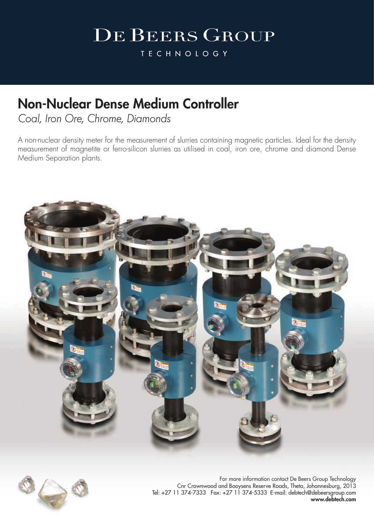**TECHNOLOGY** 

### Non-Nuclear Dense Medium Controller

*Coal, Iron Ore, Chrome, Diamonds*

A non-nuclear density meter for the measurement of slurries containing magnetic particles. Ideal for the density measurement of magnetite or ferro-silicon slurries as utilised in coal, iron ore, chrome and diamond Dense Medium Separation plants.





For more information contact De Beers Group Technology Cnr Crownwood and Booysens Reserve Roads, Theta, Johannesburg, 2013 Tel: +27 11 374-7333 Fax: +27 11 374-5333 E-mail: debtech@debeersgroup.com www.debtech.com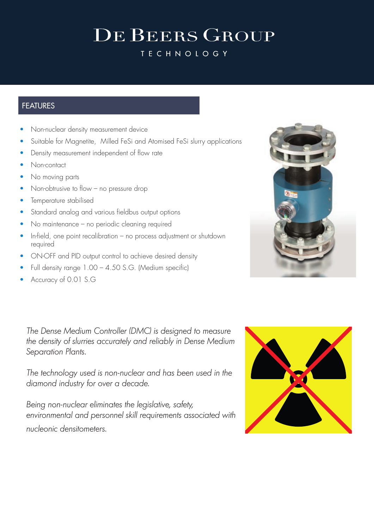**TECHNOLOGY** 

### **FEATURES**

- Non-nuclear density measurement device
- Suitable for Magnetite, Milled FeSi and Atomised FeSi slurry applications
- Density measurement independent of flow rate
- Non-contact
- No moving parts
- Non-obtrusive to flow no pressure drop
- Temperature stabilised
- Standard analog and various fieldbus output options
- No maintenance no periodic cleaning required
- In-field, one point recalibration no process adjustment or shutdown required
- ON-OFF and PID output control to achieve desired density
- Full density range 1.00 4.50 S.G. (Medium specific)
- Accuracy of 0.01 S.G

*The Dense Medium Controller (DMC) is designed to measure the density of slurries accurately and reliably in Dense Medium Separation Plants.* 

*The technology used is non-nuclear and has been used in the diamond industry for over a decade.* 

*Being non-nuclear eliminates the legislative, safety, environmental and personnel skill requirements associated with nucleonic densitometers.* 



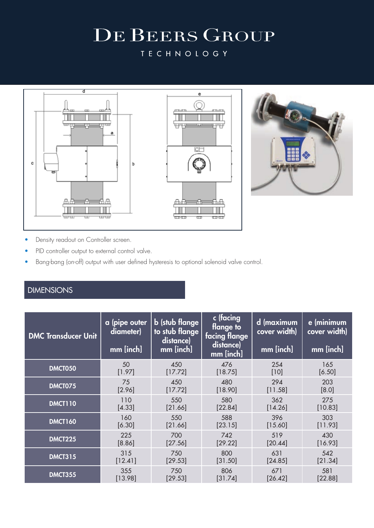**TECHNOLOGY** 



- Density readout on Controller screen.
- PID controller output to external control valve.
- Bang-bang (on-off) output with user defined hysteresis to optional solenoid valve control.

### DIMENSIONS

| <b>DMC Transducer Unit</b> | a (pipe outer<br>diameter)<br>mm [inch] | <b>b</b> (stub flange<br>to stub flange<br>distance)<br>mm [inch] | c (facing<br>flange to<br>facing flange<br>distance)<br>mm [inch] | d (maximum<br>cover width)<br>mm [inch] | e (minimum<br>cover width)<br>mm [inch] |
|----------------------------|-----------------------------------------|-------------------------------------------------------------------|-------------------------------------------------------------------|-----------------------------------------|-----------------------------------------|
| DMCT050                    | 50                                      | 450                                                               | 476                                                               | 254                                     | 165                                     |
|                            | [1.97]                                  | [17.72]                                                           | [18.75]                                                           | $[10]$                                  | [6.50]                                  |
| DMCT075                    | 75                                      | 450                                                               | 480                                                               | 294                                     | 203                                     |
|                            | [2.96]                                  | [17.72]                                                           | [18.90]                                                           | [11.58]                                 | [8.0]                                   |
| <b>DMCT110</b>             | 110                                     | 550                                                               | 580                                                               | 362                                     | 275                                     |
|                            | [4.33]                                  | [21.66]                                                           | [22.84]                                                           | [14.26]                                 | [10.83]                                 |
| <b>DMCT160</b>             | 160                                     | 550                                                               | 588                                                               | 396                                     | 303                                     |
|                            | [6.30]                                  | [21.66]                                                           | [23.15]                                                           | [15.60]                                 | [11.93]                                 |
| <b>DMCT225</b>             | 225                                     | 700                                                               | 742                                                               | 519                                     | 430                                     |
|                            | [8.86]                                  | [27.56]                                                           | [29.22]                                                           | [20.44]                                 | [16.93]                                 |
| <b>DMCT315</b>             | 315                                     | 750                                                               | 800                                                               | 631                                     | 542                                     |
|                            | [12.41]                                 | [29.53]                                                           | [31.50]                                                           | [24.85]                                 | [21.34]                                 |
| <b>DMCT355</b>             | 355                                     | 750                                                               | 806                                                               | 671                                     | 581                                     |
|                            | [13.98]                                 | [29.53]                                                           | [31.74]                                                           | [26.42]                                 | [22.88]                                 |